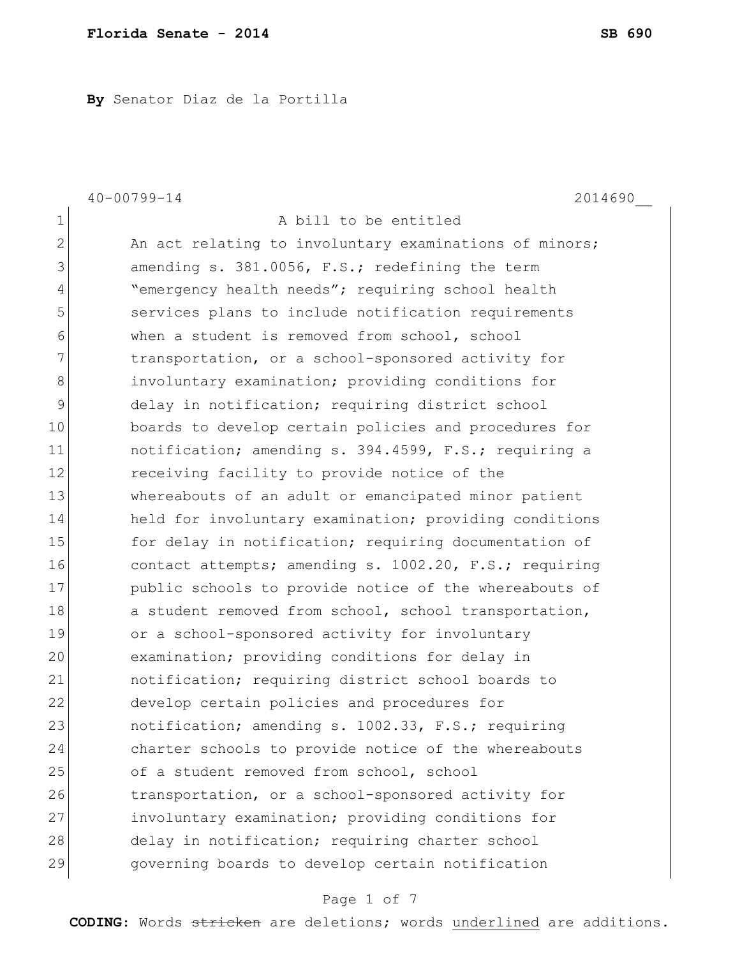**By** Senator Diaz de la Portilla

|                | $40 - 00799 - 14$<br>2014690                           |
|----------------|--------------------------------------------------------|
| $\mathbf 1$    | A bill to be entitled                                  |
| $\mathbf{2}$   | An act relating to involuntary examinations of minors; |
| 3              | amending s. 381.0056, F.S.; redefining the term        |
| $\overline{4}$ | "emergency health needs"; requiring school health      |
| 5              | services plans to include notification requirements    |
| $\epsilon$     | when a student is removed from school, school          |
| 7              | transportation, or a school-sponsored activity for     |
| $8\,$          | involuntary examination; providing conditions for      |
| $\mathsf 9$    | delay in notification; requiring district school       |
| 10             | boards to develop certain policies and procedures for  |
| 11             | notification; amending s. 394.4599, F.S.; requiring a  |
| 12             | receiving facility to provide notice of the            |
| 13             | whereabouts of an adult or emancipated minor patient   |
| 14             | held for involuntary examination; providing conditions |
| 15             | for delay in notification; requiring documentation of  |
| 16             | contact attempts; amending s. 1002.20, F.S.; requiring |
| 17             | public schools to provide notice of the whereabouts of |
| 18             | a student removed from school, school transportation,  |
| 19             | or a school-sponsored activity for involuntary         |
| 20             | examination; providing conditions for delay in         |
| 21             | notification; requiring district school boards to      |
| 22             | develop certain policies and procedures for            |
| 23             | notification; amending s. 1002.33, F.S.; requiring     |
| 24             | charter schools to provide notice of the whereabouts   |
| 25             | of a student removed from school, school               |
| 26             | transportation, or a school-sponsored activity for     |
| 27             | involuntary examination; providing conditions for      |
| 28             | delay in notification; requiring charter school        |
| 29             | governing boards to develop certain notification       |

# Page 1 of 7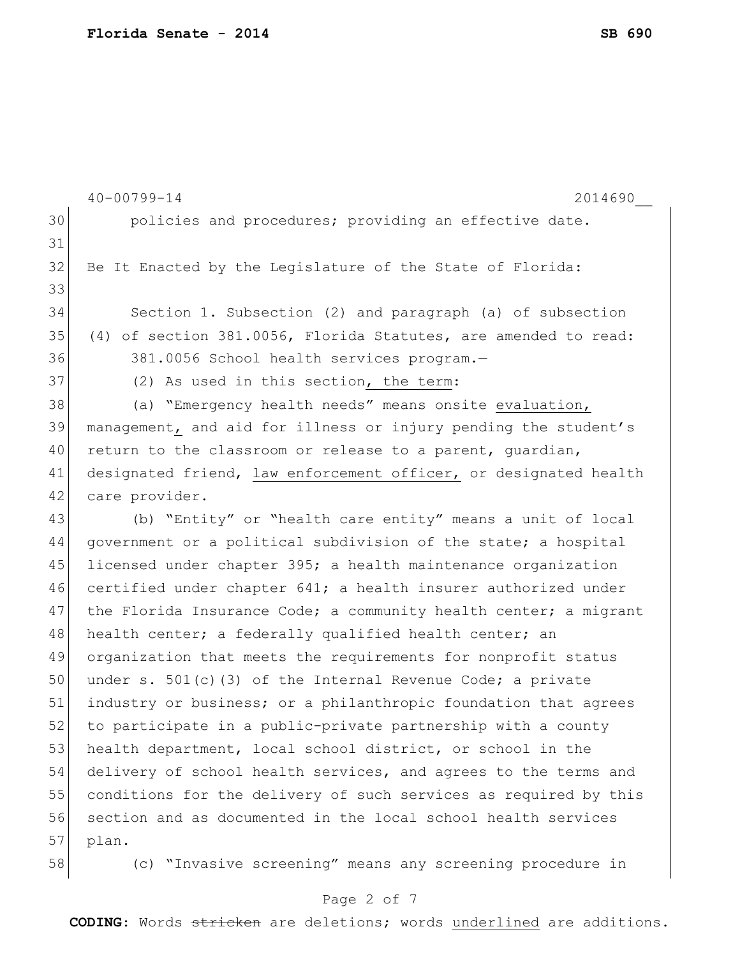|    | $40 - 00799 - 14$<br>2014690                                     |
|----|------------------------------------------------------------------|
| 30 | policies and procedures; providing an effective date.            |
| 31 |                                                                  |
| 32 | Be It Enacted by the Legislature of the State of Florida:        |
| 33 |                                                                  |
| 34 | Section 1. Subsection (2) and paragraph (a) of subsection        |
| 35 | (4) of section 381.0056, Florida Statutes, are amended to read:  |
| 36 | 381.0056 School health services program.-                        |
| 37 | (2) As used in this section, the term:                           |
| 38 | (a) "Emergency health needs" means onsite evaluation,            |
| 39 | management, and aid for illness or injury pending the student's  |
| 40 | return to the classroom or release to a parent, guardian,        |
| 41 | designated friend, law enforcement officer, or designated health |
| 42 | care provider.                                                   |
| 43 | (b) "Entity" or "health care entity" means a unit of local       |
| 44 | government or a political subdivision of the state; a hospital   |
| 45 | licensed under chapter 395; a health maintenance organization    |
| 46 | certified under chapter 641; a health insurer authorized under   |
| 47 | the Florida Insurance Code; a community health center; a migrant |
| 48 | health center; a federally qualified health center; an           |
| 49 | organization that meets the requirements for nonprofit status    |
| 50 | under s. $501(c)$ (3) of the Internal Revenue Code; a private    |
| 51 | industry or business; or a philanthropic foundation that agrees  |
| 52 | to participate in a public-private partnership with a county     |
| 53 | health department, local school district, or school in the       |
| 54 | delivery of school health services, and agrees to the terms and  |
| 55 | conditions for the delivery of such services as required by this |
| 56 | section and as documented in the local school health services    |
| 57 | plan.                                                            |
| 58 | (c) "Invasive screening" means any screening procedure in        |

# Page 2 of 7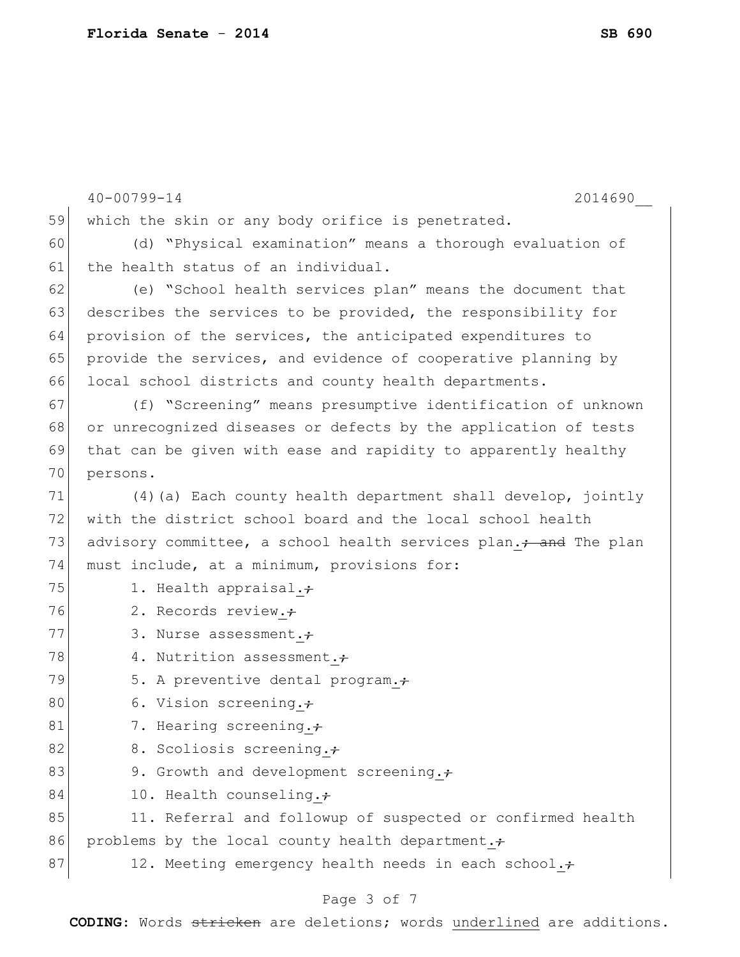|    | $40 - 00799 - 14$<br>2014690                                                 |
|----|------------------------------------------------------------------------------|
| 59 | which the skin or any body orifice is penetrated.                            |
| 60 | (d) "Physical examination" means a thorough evaluation of                    |
| 61 | the health status of an individual.                                          |
| 62 | (e) "School health services plan" means the document that                    |
| 63 | describes the services to be provided, the responsibility for                |
| 64 | provision of the services, the anticipated expenditures to                   |
| 65 | provide the services, and evidence of cooperative planning by                |
| 66 | local school districts and county health departments.                        |
| 67 | (f) "Screening" means presumptive identification of unknown                  |
| 68 | or unrecognized diseases or defects by the application of tests              |
| 69 | that can be given with ease and rapidity to apparently healthy               |
| 70 | persons.                                                                     |
| 71 | (4) (a) Each county health department shall develop, jointly                 |
| 72 | with the district school board and the local school health                   |
| 73 | advisory committee, a school health services plan. <sup>2</sup> and The plan |
| 74 | must include, at a minimum, provisions for:                                  |
| 75 | 1. Health appraisal.+                                                        |
| 76 | 2. Records review.+                                                          |
| 77 | 3. Nurse assessment.;                                                        |
| 78 | 4. Nutrition assessment.+                                                    |
| 79 | 5. A preventive dental program.                                              |
| 80 | 6. Vision screening. $\div$                                                  |
| 81 | 7. Hearing screening.+                                                       |
| 82 | 8. Scoliosis screening.+                                                     |
| 83 | 9. Growth and development screening.;                                        |
| 84 | 10. Health counseling.+                                                      |
| 85 | 11. Referral and followup of suspected or confirmed health                   |
| 86 | problems by the local county health department.;                             |
| 87 | 12. Meeting emergency health needs in each school.+                          |
|    |                                                                              |

# Page 3 of 7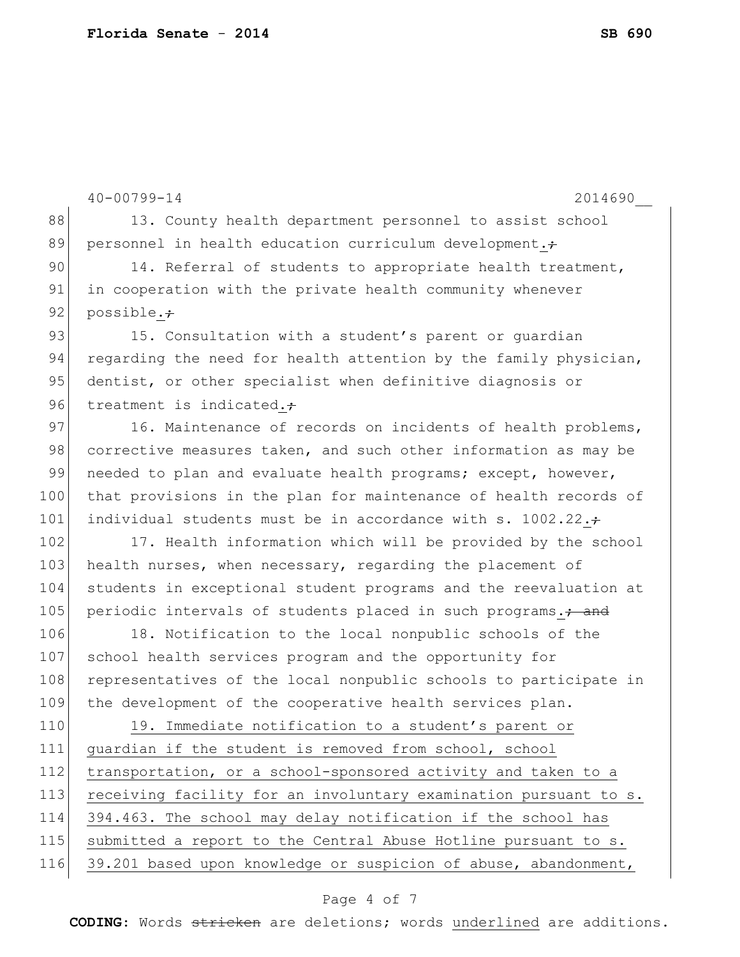40-00799-14 2014690\_\_ 88 13. County health department personnel to assist school 89 personnel in health education curriculum development. $\div$ 90 14. Referral of students to appropriate health treatment, 91 in cooperation with the private health community whenever 92 possible. $\div$ 93 15. Consultation with a student's parent or quardian 94 regarding the need for health attention by the family physician, 95 dentist, or other specialist when definitive diagnosis or 96 treatment is indicated. $\div$ 97 16. Maintenance of records on incidents of health problems, 98 corrective measures taken, and such other information as may be 99 needed to plan and evaluate health programs; except, however, 100 that provisions in the plan for maintenance of health records of 101 individual students must be in accordance with s. 1002.22. $\pm$ 102 17. Health information which will be provided by the school 103 health nurses, when necessary, regarding the placement of 104 students in exceptional student programs and the reevaluation at 105 periodic intervals of students placed in such programs.; and 106 18. Notification to the local nonpublic schools of the 107 school health services program and the opportunity for 108 representatives of the local nonpublic schools to participate in 109 the development of the cooperative health services plan. 110 19. Immediate notification to a student's parent or 111 guardian if the student is removed from school, school 112 transportation, or a school-sponsored activity and taken to a 113 receiving facility for an involuntary examination pursuant to s. 114 394.463. The school may delay notification if the school has 115 | submitted a report to the Central Abuse Hotline pursuant to s. 116 39.201 based upon knowledge or suspicion of abuse, abandonment,

### Page 4 of 7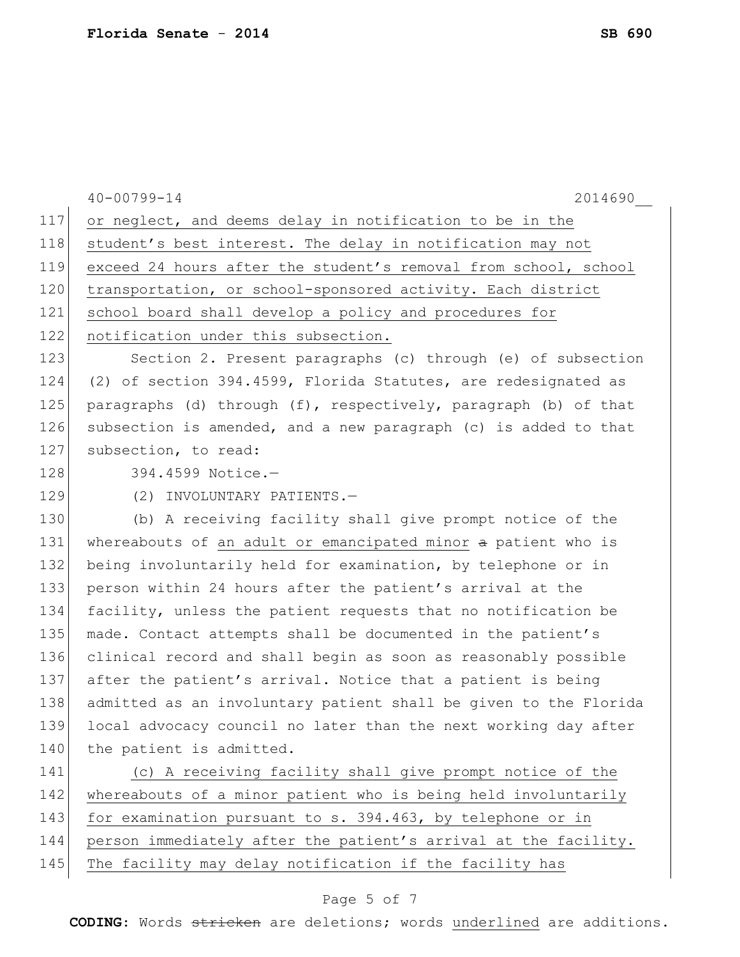|     | 2014690<br>$40 - 00799 - 14$                                     |
|-----|------------------------------------------------------------------|
| 117 | or neglect, and deems delay in notification to be in the         |
| 118 | student's best interest. The delay in notification may not       |
| 119 | exceed 24 hours after the student's removal from school, school  |
| 120 | transportation, or school-sponsored activity. Each district      |
| 121 | school board shall develop a policy and procedures for           |
| 122 | notification under this subsection.                              |
| 123 | Section 2. Present paragraphs (c) through (e) of subsection      |
| 124 | (2) of section 394.4599, Florida Statutes, are redesignated as   |
| 125 | paragraphs (d) through (f), respectively, paragraph (b) of that  |
| 126 | subsection is amended, and a new paragraph (c) is added to that  |
| 127 | subsection, to read:                                             |
| 128 | 394.4599 Notice.-                                                |
| 129 | (2) INVOLUNTARY PATIENTS.-                                       |
| 130 | (b) A receiving facility shall give prompt notice of the         |
| 131 | whereabouts of an adult or emancipated minor a patient who is    |
| 132 | being involuntarily held for examination, by telephone or in     |
| 133 | person within 24 hours after the patient's arrival at the        |
| 134 | facility, unless the patient requests that no notification be    |
| 135 | made. Contact attempts shall be documented in the patient's      |
| 136 | clinical record and shall begin as soon as reasonably possible   |
| 137 | after the patient's arrival. Notice that a patient is being      |
| 138 | admitted as an involuntary patient shall be given to the Florida |
| 139 | local advocacy council no later than the next working day after  |
| 140 | the patient is admitted.                                         |
| 141 | (c) A receiving facility shall give prompt notice of the         |
| 142 | whereabouts of a minor patient who is being held involuntarily   |
| 143 | for examination pursuant to s. 394.463, by telephone or in       |
| 144 | person immediately after the patient's arrival at the facility.  |
| 145 | The facility may delay notification if the facility has          |
|     |                                                                  |

# Page 5 of 7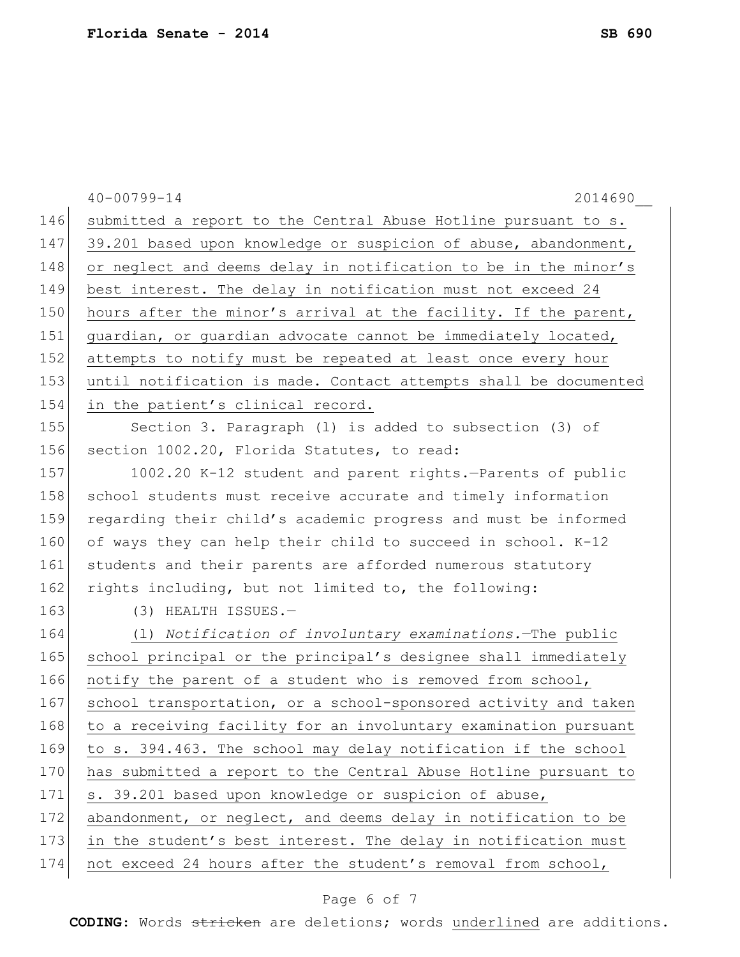|     | $40 - 00799 - 14$<br>2014690                                     |
|-----|------------------------------------------------------------------|
| 146 | submitted a report to the Central Abuse Hotline pursuant to s.   |
| 147 | 39.201 based upon knowledge or suspicion of abuse, abandonment,  |
| 148 | or neglect and deems delay in notification to be in the minor's  |
| 149 | best interest. The delay in notification must not exceed 24      |
| 150 | hours after the minor's arrival at the facility. If the parent,  |
| 151 | guardian, or guardian advocate cannot be immediately located,    |
| 152 | attempts to notify must be repeated at least once every hour     |
| 153 | until notification is made. Contact attempts shall be documented |
| 154 | in the patient's clinical record.                                |
| 155 | Section 3. Paragraph (1) is added to subsection (3) of           |
| 156 | section 1002.20, Florida Statutes, to read:                      |
| 157 | 1002.20 K-12 student and parent rights.-Parents of public        |
| 158 | school students must receive accurate and timely information     |
| 159 | regarding their child's academic progress and must be informed   |
| 160 | of ways they can help their child to succeed in school. K-12     |
| 161 | students and their parents are afforded numerous statutory       |
| 162 | rights including, but not limited to, the following:             |
| 163 | (3) HEALTH ISSUES.-                                              |
| 164 | (1) Notification of involuntary examinations. The public         |
| 165 | school principal or the principal's designee shall immediately   |
| 166 | notify the parent of a student who is removed from school,       |
| 167 | school transportation, or a school-sponsored activity and taken  |
| 168 | to a receiving facility for an involuntary examination pursuant  |
| 169 | to s. 394.463. The school may delay notification if the school   |
| 170 | has submitted a report to the Central Abuse Hotline pursuant to  |
| 171 | s. 39.201 based upon knowledge or suspicion of abuse,            |
| 172 | abandonment, or neglect, and deems delay in notification to be   |
| 173 | in the student's best interest. The delay in notification must   |
| 174 | not exceed 24 hours after the student's removal from school,     |
|     |                                                                  |

## Page 6 of 7